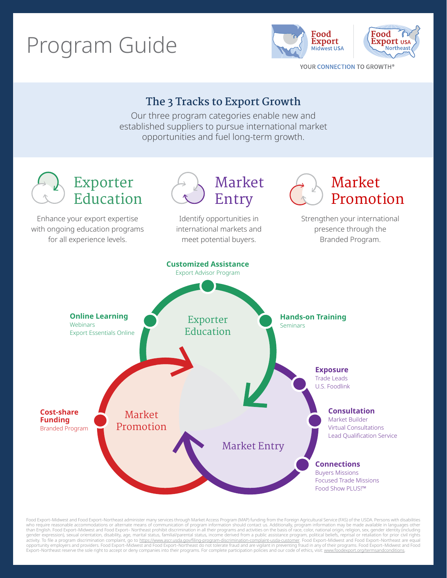# Program Guide





YOUR CONNECTION TO GROWTH®

# **The 3 Tracks to Export Growth**

Our three program categories enable new and established suppliers to pursue international market opportunities and fuel long-term growth.



Food Export–Midwest and Food Export–Northeast administer many services through Market Access Program (MAP) funding from the Foreign Agricultural Service (FAS) of the USDA. Persons with disabilities who require reasonable accommodations or alternate means of communication of program information should contact us. Additionally, program information may be made available in languages other<br>than English. Food Export–Midwe gender expression), sexual orientation, disability, age, marital status, familial/parental status, income derived from a public assistance program, political beliefs, reprisal or retaliation for prior civil rights<br>activity Export–Northeast reserve the sole right to accept or deny companies into their programs. For complete participation policies and our code of ethics, visit: [www.foodexport.org/termsandconditions](http://www.foodexport.org/termsandconditions)